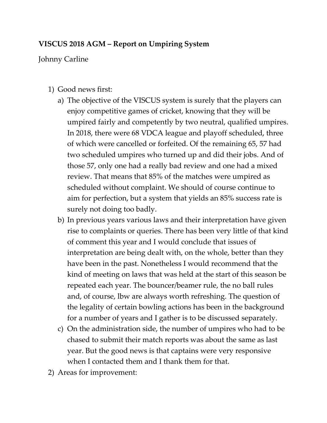## **VISCUS 2018 AGM – Report on Umpiring System**

Johnny Carline

- 1) Good news first:
	- a) The objective of the VISCUS system is surely that the players can enjoy competitive games of cricket, knowing that they will be umpired fairly and competently by two neutral, qualified umpires. In 2018, there were 68 VDCA league and playoff scheduled, three of which were cancelled or forfeited. Of the remaining 65, 57 had two scheduled umpires who turned up and did their jobs. And of those 57, only one had a really bad review and one had a mixed review. That means that 85% of the matches were umpired as scheduled without complaint. We should of course continue to aim for perfection, but a system that yields an 85% success rate is surely not doing too badly.
	- b) In previous years various laws and their interpretation have given rise to complaints or queries. There has been very little of that kind of comment this year and I would conclude that issues of interpretation are being dealt with, on the whole, better than they have been in the past. Nonetheless I would recommend that the kind of meeting on laws that was held at the start of this season be repeated each year. The bouncer/beamer rule, the no ball rules and, of course, lbw are always worth refreshing. The question of the legality of certain bowling actions has been in the background for a number of years and I gather is to be discussed separately.
	- c) On the administration side, the number of umpires who had to be chased to submit their match reports was about the same as last year. But the good news is that captains were very responsive when I contacted them and I thank them for that.
- 2) Areas for improvement: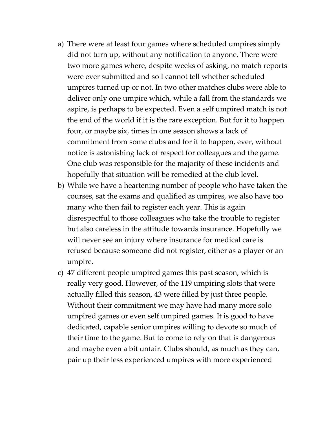- a) There were at least four games where scheduled umpires simply did not turn up, without any notification to anyone. There were two more games where, despite weeks of asking, no match reports were ever submitted and so I cannot tell whether scheduled umpires turned up or not. In two other matches clubs were able to deliver only one umpire which, while a fall from the standards we aspire, is perhaps to be expected. Even a self umpired match is not the end of the world if it is the rare exception. But for it to happen four, or maybe six, times in one season shows a lack of commitment from some clubs and for it to happen, ever, without notice is astonishing lack of respect for colleagues and the game. One club was responsible for the majority of these incidents and hopefully that situation will be remedied at the club level.
- b) While we have a heartening number of people who have taken the courses, sat the exams and qualified as umpires, we also have too many who then fail to register each year. This is again disrespectful to those colleagues who take the trouble to register but also careless in the attitude towards insurance. Hopefully we will never see an injury where insurance for medical care is refused because someone did not register, either as a player or an umpire.
- c) 47 different people umpired games this past season, which is really very good. However, of the 119 umpiring slots that were actually filled this season, 43 were filled by just three people. Without their commitment we may have had many more solo umpired games or even self umpired games. It is good to have dedicated, capable senior umpires willing to devote so much of their time to the game. But to come to rely on that is dangerous and maybe even a bit unfair. Clubs should, as much as they can, pair up their less experienced umpires with more experienced